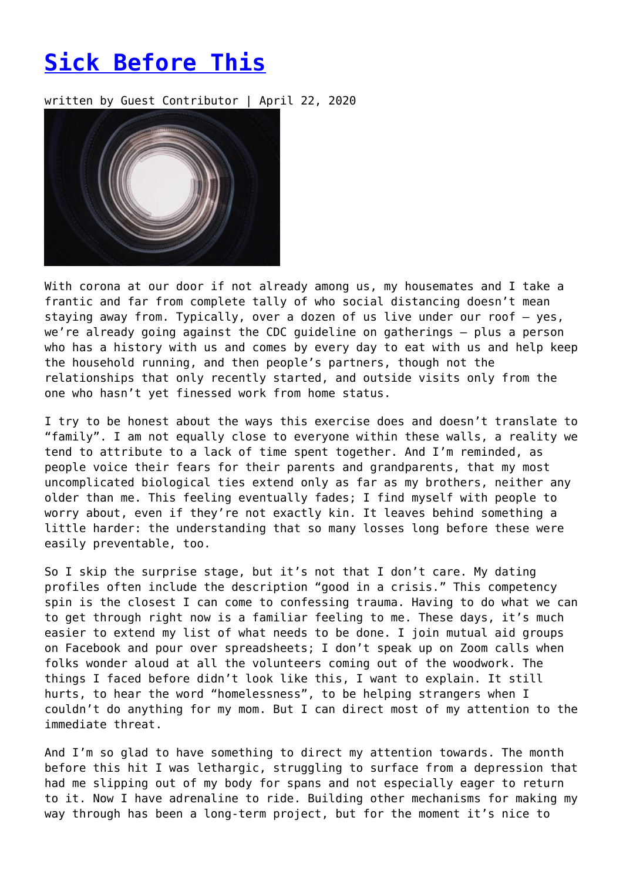## **[Sick Before This](https://entropymag.org/sick-before-this/)**

written by Guest Contributor | April 22, 2020



With corona at our door if not already among us, my housemates and I take a frantic and far from complete tally of who social distancing doesn't mean staying away from. Typically, over a dozen of us live under our roof – yes, we're already going against the CDC guideline on gatherings – plus a person who has a history with us and comes by every day to eat with us and help keep the household running, and then people's partners, though not the relationships that only recently started, and outside visits only from the one who hasn't yet finessed work from home status.

I try to be honest about the ways this exercise does and doesn't translate to "family". I am not equally close to everyone within these walls, a reality we tend to attribute to a lack of time spent together. And I'm reminded, as people voice their fears for their parents and grandparents, that my most uncomplicated biological ties extend only as far as my brothers, neither any older than me. This feeling eventually fades; I find myself with people to worry about, even if they're not exactly kin. It leaves behind something a little harder: the understanding that so many losses long before these were easily preventable, too.

So I skip the surprise stage, but it's not that I don't care. My dating profiles often include the description "good in a crisis." This competency spin is the closest I can come to confessing trauma. Having to do what we can to get through right now is a familiar feeling to me. These days, it's much easier to extend my list of what needs to be done. I join mutual aid groups on Facebook and pour over spreadsheets; I don't speak up on Zoom calls when folks wonder aloud at all the volunteers coming out of the woodwork. The things I faced before didn't look like this, I want to explain. It still hurts, to hear the word "homelessness", to be helping strangers when I couldn't do anything for my mom. But I can direct most of my attention to the immediate threat.

And I'm so glad to have something to direct my attention towards. The month before this hit I was lethargic, struggling to surface from a depression that had me slipping out of my body for spans and not especially eager to return to it. Now I have adrenaline to ride. Building other mechanisms for making my way through has been a long-term project, but for the moment it's nice to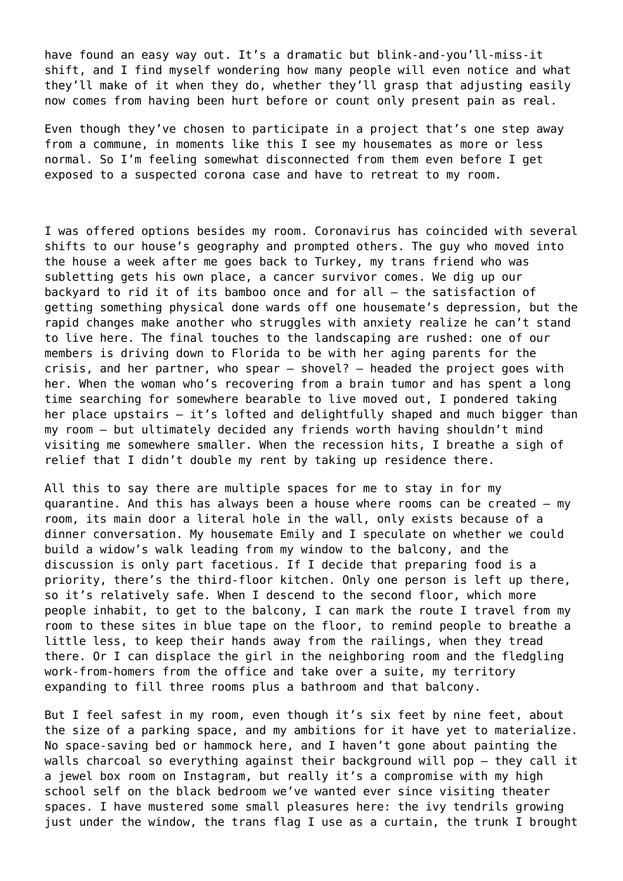have found an easy way out. It's a dramatic but blink-and-you'll-miss-it shift, and I find myself wondering how many people will even notice and what they'll make of it when they do, whether they'll grasp that adjusting easily now comes from having been hurt before or count only present pain as real.

Even though they've chosen to participate in a project that's one step away from a commune, in moments like this I see my housemates as more or less normal. So I'm feeling somewhat disconnected from them even before I get exposed to a suspected corona case and have to retreat to my room.

I was offered options besides my room. Coronavirus has coincided with several shifts to our house's geography and prompted others. The guy who moved into the house a week after me goes back to Turkey, my trans friend who was subletting gets his own place, a cancer survivor comes. We dig up our backyard to rid it of its bamboo once and for all – the satisfaction of getting something physical done wards off one housemate's depression, but the rapid changes make another who struggles with anxiety realize he can't stand to live here. The final touches to the landscaping are rushed: one of our members is driving down to Florida to be with her aging parents for the crisis, and her partner, who spear – shovel? – headed the project goes with her. When the woman who's recovering from a brain tumor and has spent a long time searching for somewhere bearable to live moved out, I pondered taking her place upstairs – it's lofted and delightfully shaped and much bigger than my room – but ultimately decided any friends worth having shouldn't mind visiting me somewhere smaller. When the recession hits, I breathe a sigh of relief that I didn't double my rent by taking up residence there.

All this to say there are multiple spaces for me to stay in for my quarantine. And this has always been a house where rooms can be created – my room, its main door a literal hole in the wall, only exists because of a dinner conversation. My housemate Emily and I speculate on whether we could build a widow's walk leading from my window to the balcony, and the discussion is only part facetious. If I decide that preparing food is a priority, there's the third-floor kitchen. Only one person is left up there, so it's relatively safe. When I descend to the second floor, which more people inhabit, to get to the balcony, I can mark the route I travel from my room to these sites in blue tape on the floor, to remind people to breathe a little less, to keep their hands away from the railings, when they tread there. Or I can displace the girl in the neighboring room and the fledgling work-from-homers from the office and take over a suite, my territory expanding to fill three rooms plus a bathroom and that balcony.

But I feel safest in my room, even though it's six feet by nine feet, about the size of a parking space, and my ambitions for it have yet to materialize. No space-saving bed or hammock here, and I haven't gone about painting the walls charcoal so everything against their background will pop – they call it a jewel box room on Instagram, but really it's a compromise with my high school self on the black bedroom we've wanted ever since visiting theater spaces. I have mustered some small pleasures here: the ivy tendrils growing just under the window, the trans flag I use as a curtain, the trunk I brought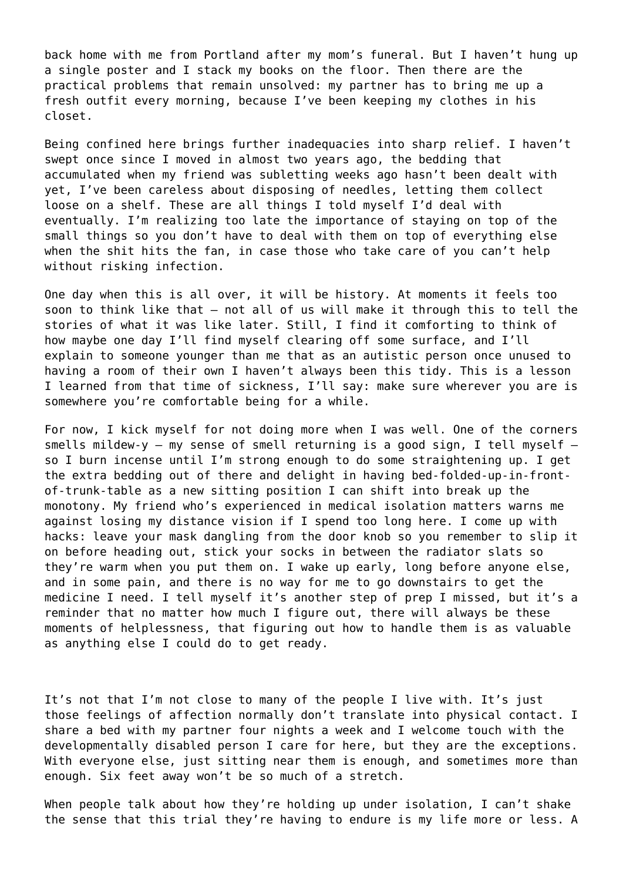back home with me from Portland after my mom's funeral. But I haven't hung up a single poster and I stack my books on the floor. Then there are the practical problems that remain unsolved: my partner has to bring me up a fresh outfit every morning, because I've been keeping my clothes in his closet.

Being confined here brings further inadequacies into sharp relief. I haven't swept once since I moved in almost two years ago, the bedding that accumulated when my friend was subletting weeks ago hasn't been dealt with yet, I've been careless about disposing of needles, letting them collect loose on a shelf. These are all things I told myself I'd deal with eventually. I'm realizing too late the importance of staying on top of the small things so you don't have to deal with them on top of everything else when the shit hits the fan, in case those who take care of you can't help without risking infection.

One day when this is all over, it will be history. At moments it feels too soon to think like that – not all of us will make it through this to tell the stories of what it was like later. Still, I find it comforting to think of how maybe one day I'll find myself clearing off some surface, and I'll explain to someone younger than me that as an autistic person once unused to having a room of their own I haven't always been this tidy. This is a lesson I learned from that time of sickness, I'll say: make sure wherever you are is somewhere you're comfortable being for a while.

For now, I kick myself for not doing more when I was well. One of the corners smells mildew-y - my sense of smell returning is a good sign, I tell myself  $$ so I burn incense until I'm strong enough to do some straightening up. I get the extra bedding out of there and delight in having bed-folded-up-in-frontof-trunk-table as a new sitting position I can shift into break up the monotony. My friend who's experienced in medical isolation matters warns me against losing my distance vision if I spend too long here. I come up with hacks: leave your mask dangling from the door knob so you remember to slip it on before heading out, stick your socks in between the radiator slats so they're warm when you put them on. I wake up early, long before anyone else, and in some pain, and there is no way for me to go downstairs to get the medicine I need. I tell myself it's another step of prep I missed, but it's a reminder that no matter how much I figure out, there will always be these moments of helplessness, that figuring out how to handle them is as valuable as anything else I could do to get ready.

It's not that I'm not close to many of the people I live with. It's just those feelings of affection normally don't translate into physical contact. I share a bed with my partner four nights a week and I welcome touch with the developmentally disabled person I care for here, but they are the exceptions. With everyone else, just sitting near them is enough, and sometimes more than enough. Six feet away won't be so much of a stretch.

When people talk about how they're holding up under isolation, I can't shake the sense that this trial they're having to endure is my life more or less. A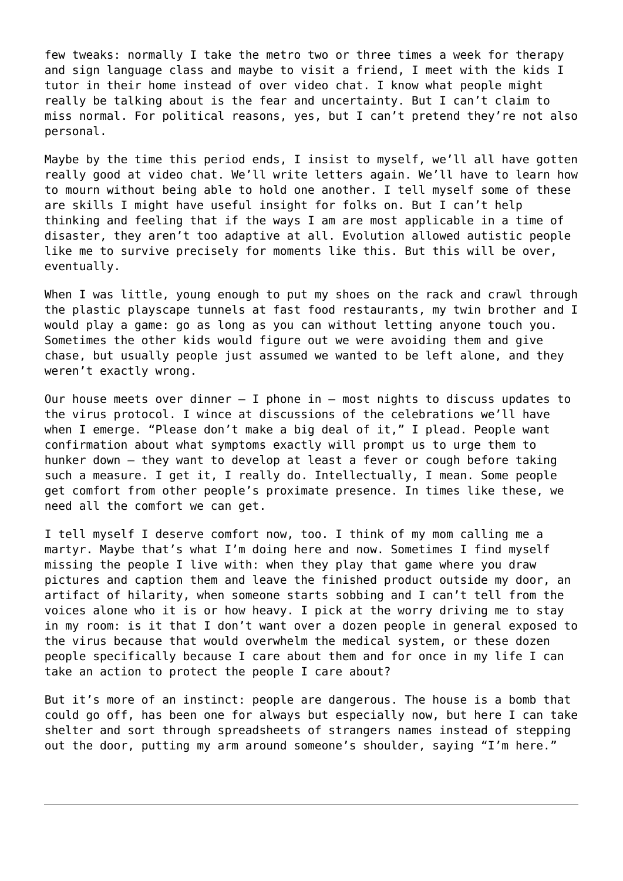few tweaks: normally I take the metro two or three times a week for therapy and sign language class and maybe to visit a friend, I meet with the kids I tutor in their home instead of over video chat. I know what people might really be talking about is the fear and uncertainty. But I can't claim to miss normal. For political reasons, yes, but I can't pretend they're not also personal.

Maybe by the time this period ends, I insist to myself, we'll all have gotten really good at video chat. We'll write letters again. We'll have to learn how to mourn without being able to hold one another. I tell myself some of these are skills I might have useful insight for folks on. But I can't help thinking and feeling that if the ways I am are most applicable in a time of disaster, they aren't too adaptive at all. Evolution allowed autistic people like me to survive precisely for moments like this. But this will be over, eventually.

When I was little, young enough to put my shoes on the rack and crawl through the plastic playscape tunnels at fast food restaurants, my twin brother and I would play a game: go as long as you can without letting anyone touch you. Sometimes the other kids would figure out we were avoiding them and give chase, but usually people just assumed we wanted to be left alone, and they weren't exactly wrong.

Our house meets over dinner  $-$  I phone in  $-$  most nights to discuss updates to the virus protocol. I wince at discussions of the celebrations we'll have when I emerge. "Please don't make a big deal of it," I plead. People want confirmation about what symptoms exactly will prompt us to urge them to hunker down – they want to develop at least a fever or cough before taking such a measure. I get it, I really do. Intellectually, I mean. Some people get comfort from other people's proximate presence. In times like these, we need all the comfort we can get.

I tell myself I deserve comfort now, too. I think of my mom calling me a martyr. Maybe that's what I'm doing here and now. Sometimes I find myself missing the people I live with: when they play that game where you draw pictures and caption them and leave the finished product outside my door, an artifact of hilarity, when someone starts sobbing and I can't tell from the voices alone who it is or how heavy. I pick at the worry driving me to stay in my room: is it that I don't want over a dozen people in general exposed to the virus because that would overwhelm the medical system, or these dozen people specifically because I care about them and for once in my life I can take an action to protect the people I care about?

But it's more of an instinct: people are dangerous. The house is a bomb that could go off, has been one for always but especially now, but here I can take shelter and sort through spreadsheets of strangers names instead of stepping out the door, putting my arm around someone's shoulder, saying "I'm here."